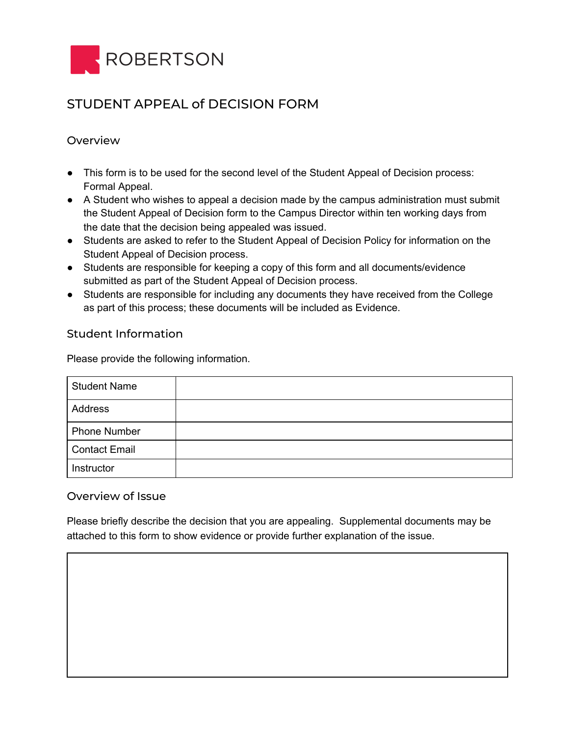

## STUDENT APPEAL of DECISION FORM

## Overview

- This form is to be used for the second level of the Student Appeal of Decision process: Formal Appeal.
- A Student who wishes to appeal a decision made by the campus administration must submit the Student Appeal of Decision form to the Campus Director within ten working days from the date that the decision being appealed was issued.
- Students are asked to refer to the Student Appeal of Decision Policy for information on the Student Appeal of Decision process.
- Students are responsible for keeping a copy of this form and all documents/evidence submitted as part of the Student Appeal of Decision process.
- Students are responsible for including any documents they have received from the College as part of this process; these documents will be included as Evidence.

## Student Information

Please provide the following information.

| <b>Student Name</b>  |  |
|----------------------|--|
| Address              |  |
| <b>Phone Number</b>  |  |
| <b>Contact Email</b> |  |
| Instructor           |  |

## Overview of Issue

Please briefly describe the decision that you are appealing. Supplemental documents may be attached to this form to show evidence or provide further explanation of the issue.